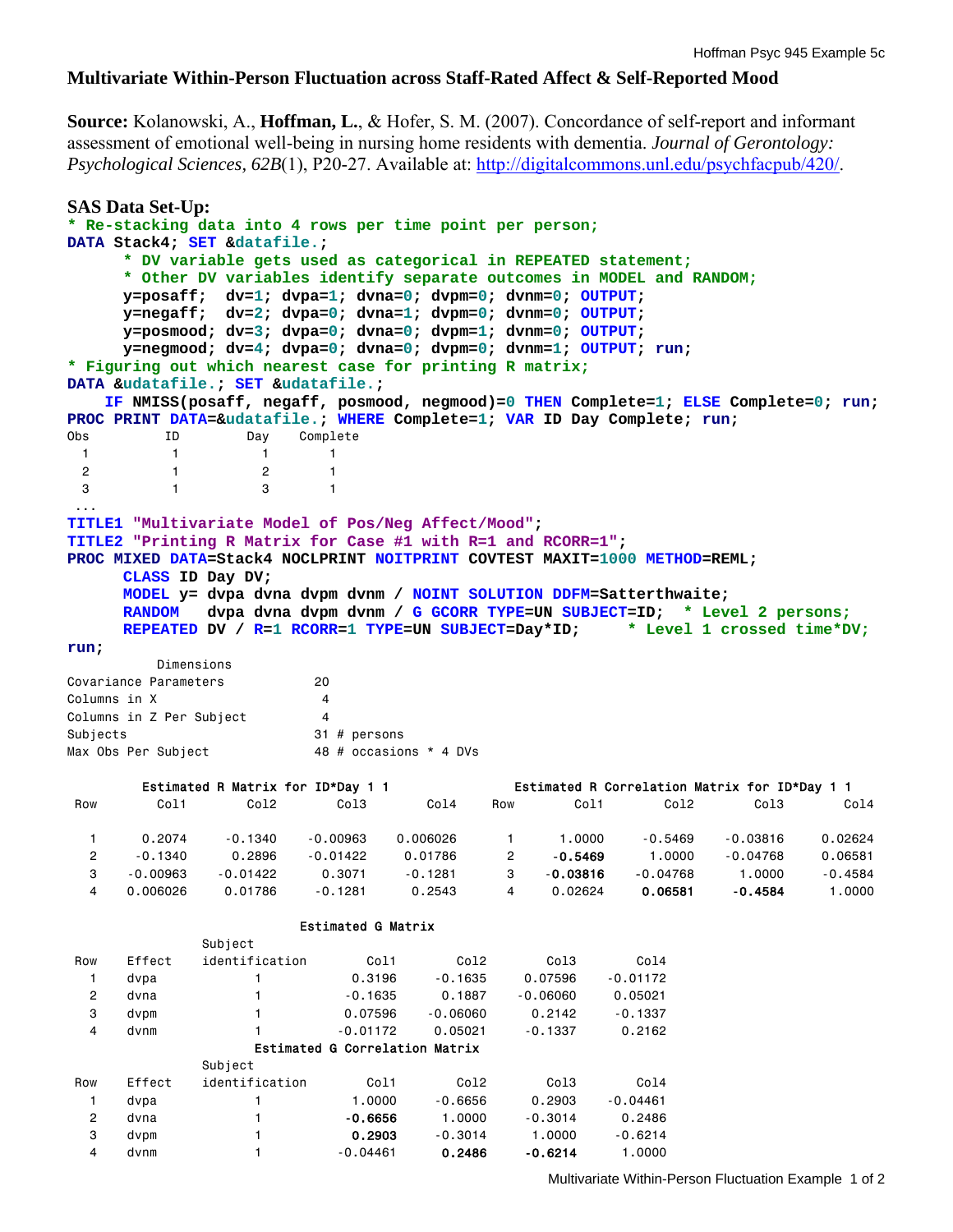## **Multivariate Within-Person Fluctuation across Staff-Rated Affect & Self-Reported Mood**

**Source:** Kolanowski, A., **Hoffman, L.**, & Hofer, S. M. (2007). Concordance of self-report and informant assessment of emotional well-being in nursing home residents with dementia. *Journal of Gerontology: Psychological Sciences, 62B*(1), P20-27. Available at: http://digitalcommons.unl.edu/psychfacpub/420/.

```
SAS Data Set-Up: 
* Re-stacking data into 4 rows per time point per person;
DATA Stack4; SET &datafile.; 
     * DV variable gets used as categorical in REPEATED statement;
     * Other DV variables identify separate outcomes in MODEL and RANDOM;
      y=posaff; dv=1; dvpa=1; dvna=0; dvpm=0; dvnm=0; OUTPUT; 
      y=negaff; dv=2; dvpa=0; dvna=1; dvpm=0; dvnm=0; OUTPUT; 
      y=posmood; dv=3; dvpa=0; dvna=0; dvpm=1; dvnm=0; OUTPUT; 
      y=negmood; dv=4; dvpa=0; dvna=0; dvpm=0; dvnm=1; OUTPUT; run; 
* Figuring out which nearest case for printing R matrix;
DATA &udatafile.; SET &udatafile.; 
    IF NMISS(posaff, negaff, posmood, negmood)=0 THEN Complete=1; ELSE Complete=0; run; 
PROC PRINT DATA=&udatafile.; WHERE Complete=1; VAR ID Day Complete; run; 
                      Complete
1 1 1 1
 2 1 2 1 
 3 1 3 1 
  ...
TITLE1 "Multivariate Model of Pos/Neg Affect/Mood"; 
TITLE2 "Printing R Matrix for Case #1 with R=1 and RCORR=1"; 
PROC MIXED DATA=Stack4 NOCLPRINT NOITPRINT COVTEST MAXIT=1000 METHOD=REML; 
     CLASS ID Day DV; 
      MODEL y= dvpa dvna dvpm dvnm / NOINT SOLUTION DDFM=Satterthwaite; 
      RANDOM dvpa dvna dvpm dvnm / G GCORR TYPE=UN SUBJECT=ID; * Level 2 persons;
     REPEATED DV / R=1 RCORR=1 TYPE=UN SUBJECT=Day*ID; * Level 1 crossed time*DV;
run; 
         Dimensions 
Covariance Parameters 20 
Columns in X 4
Columns in Z Per Subject 4 
Subjects 31 # persons
Max Obs Per Subject 48 # occasions * 4 DVs
        Estimated R Matrix for ID*Day 1 1 
 Row Col1 Col2 Col3 Col4 
   1 0.2074 -0.1340 -0.00963 0.006026 
   2 -0.1340 0.2896 -0.01422 0.01786 
   3 -0.00963 -0.01422 0.3071 -0.1281 
   4 0.006026 0.01786 -0.1281 0.2543 
                                           Estimated R Correlation Matrix for ID*Day 1 1 
                                        Row Col1 Col2 Col3 Col4 
                                          1 1.0000 -0.5469 -0.03816 0.02624 
                                          2 -0.5469 1.0000 -0.04768 0.06581 
                                          3 -0.03816 -0.04768 1.0000 -0.4584 
                                          4 0.02624 0.06581 -0.4584 1.0000 
                       Estimated G Matrix 
             Subject 
 Row Effect identification Col1 Col2 Col3 Col4 
 1 dvpa 1 0.3196 -0.1635 0.07596 -0.01172 
 2 dvna 1 -0.1635 0.1887 -0.06060 0.05021 
 3 dvpm 1 0.07596 -0.06060 0.2142 -0.1337 
 4 dvnm 1 -0.01172 0.05021 -0.1337 0.2162 
                  Estimated G Correlation Matrix 
             Subject 
 Row Effect identification Col1 Col2 Col3 Col4 
 1 dvpa 1 1.0000 -0.6656 0.2903 -0.04461 
 2 dvna 1 -0.6656 1.0000 -0.3014 0.2486 
 3 dvpm 1 0.2903 -0.3014 1.0000 -0.6214 
 4 dvnm 1 -0.04461 0.2486 -0.6214 1.0000
```